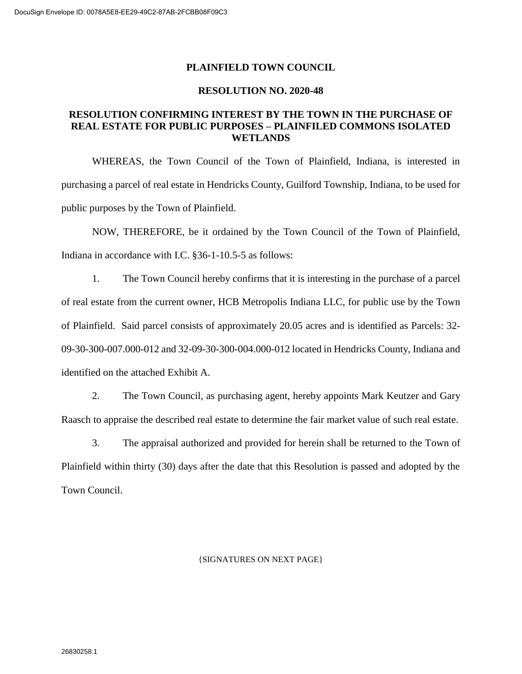### **PLAINFIELD TOWN COUNCIL**

#### **RESOLUTION NO. 2020-48**

### **RESOLUTION CONFIRMING INTEREST BY THE TOWN IN THE PURCHASE OF REAL ESTATE FOR PUBLIC PURPOSES – PLAINFILED COMMONS ISOLATED WETLANDS**

WHEREAS, the Town Council of the Town of Plainfield, Indiana, is interested in purchasing a parcel of real estate in Hendricks County, Guilford Township, Indiana, to be used for public purposes by the Town of Plainfield.

NOW, THEREFORE, be it ordained by the Town Council of the Town of Plainfield, Indiana in accordance with I.C. §36-1-10.5-5 as follows:

1. The Town Council hereby confirms that it is interesting in the purchase of a parcel of real estate from the current owner, HCB Metropolis Indiana LLC, for public use by the Town of Plainfield. Said parcel consists of approximately 20.05 acres and is identified as Parcels: 32- 09-30-300-007.000-012 and 32-09-30-300-004.000-012 located in Hendricks County, Indiana and identified on the attached Exhibit A.

2. The Town Council, as purchasing agent, hereby appoints Mark Keutzer and Gary Raasch to appraise the described real estate to determine the fair market value of such real estate.

3. The appraisal authorized and provided for herein shall be returned to the Town of Plainfield within thirty (30) days after the date that this Resolution is passed and adopted by the Town Council.

#### {SIGNATURES ON NEXT PAGE}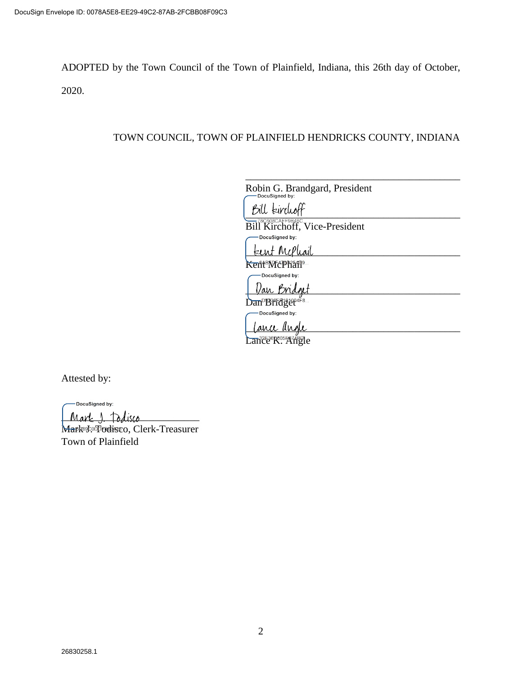ADOPTED by the Town Council of the Town of Plainfield, Indiana, this 26th day of October, 2020.

## TOWN COUNCIL, TOWN OF PLAINFIELD HENDRICKS COUNTY, INDIANA

| Robin G. Brandgard, President<br>DocuSigned by: |  |
|-------------------------------------------------|--|
|                                                 |  |

\_\_\_\_\_\_\_\_\_\_\_\_\_\_\_\_\_\_\_\_\_\_\_\_\_\_\_\_\_\_\_\_\_\_\_\_\_\_\_\_\_\_

 $\mathcal{B}$ ill kirduol

Bill Kirchoff, Vice-President -DocuSigned by:

| bent McPhail |  |
|--------------|--|
|              |  |

Kent McPran<sup>9</sup>

DocuSigned by: Van Bridget

Dan Bridget<sup>4F8...</sup><br>
Docusigned by:

 $\frac{1}{2}$   $\frac{1}{2}$   $\frac{1}{2}$   $\frac{1}{2}$   $\frac{1}{2}$   $\frac{1}{2}$   $\frac{1}{2}$   $\frac{1}{2}$   $\frac{1}{2}$   $\frac{1}{2}$   $\frac{1}{2}$   $\frac{1}{2}$   $\frac{1}{2}$   $\frac{1}{2}$   $\frac{1}{2}$   $\frac{1}{2}$   $\frac{1}{2}$   $\frac{1}{2}$   $\frac{1}{2}$   $\frac{1}{2}$   $\frac{1}{2}$   $\frac{1}{2}$ 

Lance R. Angle

Attested by:

DocuSigned by:

Mart 1 Todisco Mark 95.05 Fodisco, Clerk-Treasurer Town of Plainfield